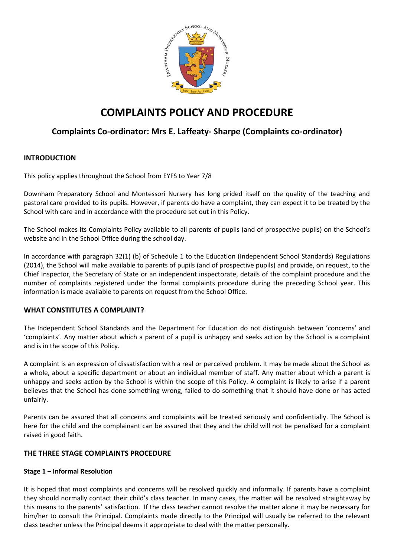

# **COMPLAINTS POLICY AND PROCEDURE**

# **Complaints Co-ordinator: Mrs E. Laffeaty- Sharpe (Complaints co-ordinator)**

## **INTRODUCTION**

This policy applies throughout the School from EYFS to Year 7/8

Downham Preparatory School and Montessori Nursery has long prided itself on the quality of the teaching and pastoral care provided to its pupils. However, if parents do have a complaint, they can expect it to be treated by the School with care and in accordance with the procedure set out in this Policy.

The School makes its Complaints Policy available to all parents of pupils (and of prospective pupils) on the School's website and in the School Office during the school day.

In accordance with paragraph 32(1) (b) of Schedule 1 to the Education (Independent School Standards) Regulations (2014), the School will make available to parents of pupils (and of prospective pupils) and provide, on request, to the Chief Inspector, the Secretary of State or an independent inspectorate, details of the complaint procedure and the number of complaints registered under the formal complaints procedure during the preceding School year. This information is made available to parents on request from the School Office.

## **WHAT CONSTITUTES A COMPLAINT?**

The Independent School Standards and the Department for Education do not distinguish between 'concerns' and 'complaints'. Any matter about which a parent of a pupil is unhappy and seeks action by the School is a complaint and is in the scope of this Policy.

A complaint is an expression of dissatisfaction with a real or perceived problem. It may be made about the School as a whole, about a specific department or about an individual member of staff. Any matter about which a parent is unhappy and seeks action by the School is within the scope of this Policy. A complaint is likely to arise if a parent believes that the School has done something wrong, failed to do something that it should have done or has acted unfairly.

Parents can be assured that all concerns and complaints will be treated seriously and confidentially. The School is here for the child and the complainant can be assured that they and the child will not be penalised for a complaint raised in good faith.

## **THE THREE STAGE COMPLAINTS PROCEDURE**

## **Stage 1 – Informal Resolution**

It is hoped that most complaints and concerns will be resolved quickly and informally. If parents have a complaint they should normally contact their child's class teacher. In many cases, the matter will be resolved straightaway by this means to the parents' satisfaction. If the class teacher cannot resolve the matter alone it may be necessary for him/her to consult the Principal. Complaints made directly to the Principal will usually be referred to the relevant class teacher unless the Principal deems it appropriate to deal with the matter personally.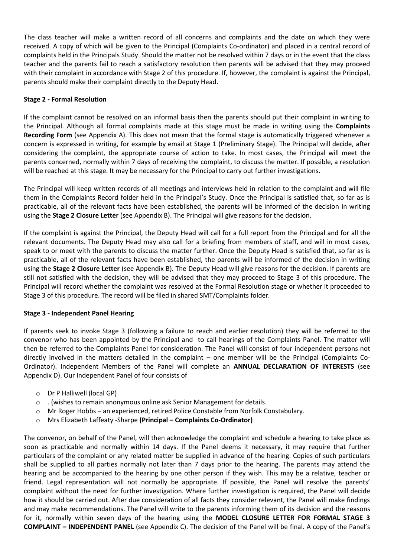The class teacher will make a written record of all concerns and complaints and the date on which they were received. A copy of which will be given to the Principal (Complaints Co-ordinator) and placed in a central record of complaints held in the Principals Study. Should the matter not be resolved within 7 days or in the event that the class teacher and the parents fail to reach a satisfactory resolution then parents will be advised that they may proceed with their complaint in accordance with Stage 2 of this procedure. If, however, the complaint is against the Principal, parents should make their complaint directly to the Deputy Head.

#### **Stage 2 - Formal Resolution**

If the complaint cannot be resolved on an informal basis then the parents should put their complaint in writing to the Principal. Although all formal complaints made at this stage must be made in writing using the **Complaints Recording Form** (see Appendix A). This does not mean that the formal stage is automatically triggered whenever a concern is expressed in writing, for example by email at Stage 1 (Preliminary Stage). The Principal will decide, after considering the complaint, the appropriate course of action to take. In most cases, the Principal will meet the parents concerned, normally within 7 days of receiving the complaint, to discuss the matter. If possible, a resolution will be reached at this stage. It may be necessary for the Principal to carry out further investigations.

The Principal will keep written records of all meetings and interviews held in relation to the complaint and will file them in the Complaints Record folder held in the Principal's Study. Once the Principal is satisfied that, so far as is practicable, all of the relevant facts have been established, the parents will be informed of the decision in writing using the **Stage 2 Closure Letter** (see Appendix B). The Principal will give reasons for the decision.

If the complaint is against the Principal, the Deputy Head will call for a full report from the Principal and for all the relevant documents. The Deputy Head may also call for a briefing from members of staff, and will in most cases, speak to or meet with the parents to discuss the matter further. Once the Deputy Head is satisfied that, so far as is practicable, all of the relevant facts have been established, the parents will be informed of the decision in writing using the **Stage 2 Closure Letter** (see Appendix B). The Deputy Head will give reasons for the decision. If parents are still not satisfied with the decision, they will be advised that they may proceed to Stage 3 of this procedure. The Principal will record whether the complaint was resolved at the Formal Resolution stage or whether it proceeded to Stage 3 of this procedure. The record will be filed in shared SMT/Complaints folder.

#### **Stage 3 - Independent Panel Hearing**

If parents seek to invoke Stage 3 (following a failure to reach and earlier resolution) they will be referred to the convenor who has been appointed by the Principal and to call hearings of the Complaints Panel. The matter will then be referred to the Complaints Panel for consideration. The Panel will consist of four independent persons not directly involved in the matters detailed in the complaint – one member will be the Principal (Complaints Co-Ordinator). Independent Members of the Panel will complete an **ANNUAL DECLARATION OF INTERESTS** (see Appendix D). Our Independent Panel of four consists of

- o Dr P Halliwell (local GP)
- o . (wishes to remain anonymous online ask Senior Management for details.
- o Mr Roger Hobbs an experienced, retired Police Constable from Norfolk Constabulary.
- o Mrs Elizabeth Laffeaty -Sharpe **(Principal – Complaints Co-Ordinator)**

The convenor, on behalf of the Panel, will then acknowledge the complaint and schedule a hearing to take place as soon as practicable and normally within 14 days. If the Panel deems it necessary, it may require that further particulars of the complaint or any related matter be supplied in advance of the hearing. Copies of such particulars shall be supplied to all parties normally not later than 7 days prior to the hearing. The parents may attend the hearing and be accompanied to the hearing by one other person if they wish. This may be a relative, teacher or friend. Legal representation will not normally be appropriate. If possible, the Panel will resolve the parents' complaint without the need for further investigation. Where further investigation is required, the Panel will decide how it should be carried out. After due consideration of all facts they consider relevant, the Panel will make findings and may make recommendations. The Panel will write to the parents informing them of its decision and the reasons for it, normally within seven days of the hearing using the **MODEL CLOSURE LETTER FOR FORMAL STAGE 3 COMPLAINT – INDEPENDENT PANEL** (see Appendix C). The decision of the Panel will be final. A copy of the Panel's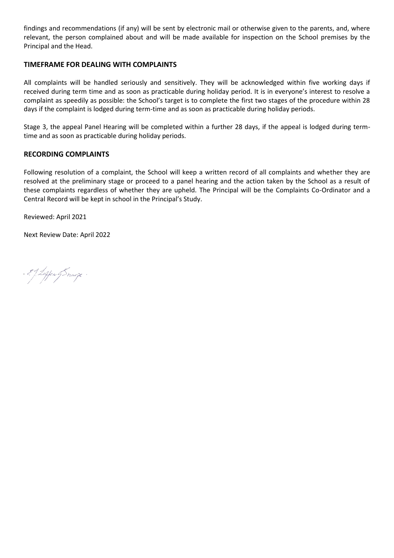findings and recommendations (if any) will be sent by electronic mail or otherwise given to the parents, and, where relevant, the person complained about and will be made available for inspection on the School premises by the Principal and the Head.

### **TIMEFRAME FOR DEALING WITH COMPLAINTS**

All complaints will be handled seriously and sensitively. They will be acknowledged within five working days if received during term time and as soon as practicable during holiday period. It is in everyone's interest to resolve a complaint as speedily as possible: the School's target is to complete the first two stages of the procedure within 28 days if the complaint is lodged during term-time and as soon as practicable during holiday periods.

Stage 3, the appeal Panel Hearing will be completed within a further 28 days, if the appeal is lodged during termtime and as soon as practicable during holiday periods.

#### **RECORDING COMPLAINTS**

Following resolution of a complaint, the School will keep a written record of all complaints and whether they are resolved at the preliminary stage or proceed to a panel hearing and the action taken by the School as a result of these complaints regardless of whether they are upheld. The Principal will be the Complaints Co-Ordinator and a Central Record will be kept in school in the Principal's Study.

Reviewed: April 2021

Next Review Date: April 2022

: 29. Leffen of Snavye .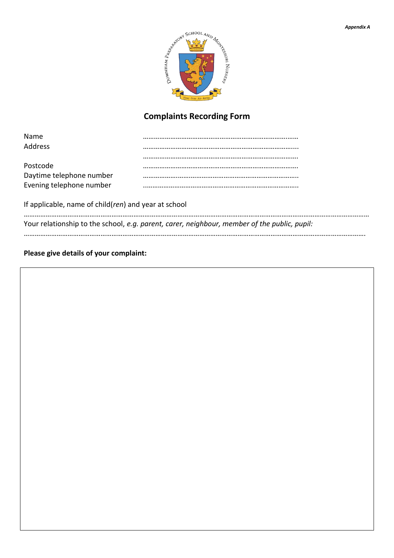

# **Complaints Recording Form**

| <b>Name</b>              |  |
|--------------------------|--|
| <b>Address</b>           |  |
|                          |  |
| Postcode                 |  |
| Daytime telephone number |  |
| Evening telephone number |  |

If applicable, name of child(*ren*) and year at school

| Your relationship to the school, e.g. parent, carer, neighbour, member of the public, pupil: |
|----------------------------------------------------------------------------------------------|
|                                                                                              |
|                                                                                              |

**Please give details of your complaint:**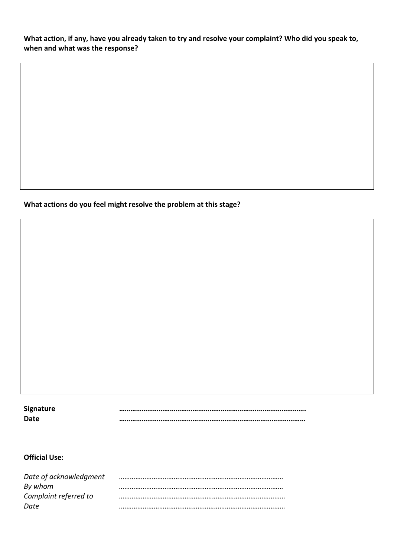**What action, if any, have you already taken to try and resolve your complaint? Who did you speak to, when and what was the response?**

# **What actions do you feel might resolve the problem at this stage?**

| <b>Signature</b> |  |
|------------------|--|
| Date             |  |

# **Official Use:**

| Date of acknowledgment |  |
|------------------------|--|
| By whom                |  |
| Complaint referred to  |  |
| Date                   |  |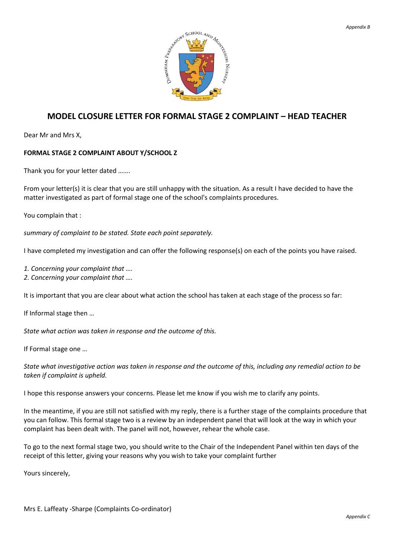

# **MODEL CLOSURE LETTER FOR FORMAL STAGE 2 COMPLAINT – HEAD TEACHER**

Dear Mr and Mrs X,

#### **FORMAL STAGE 2 COMPLAINT ABOUT Y/SCHOOL Z**

Thank you for your letter dated …….

From your letter(s) it is clear that you are still unhappy with the situation. As a result I have decided to have the matter investigated as part of formal stage one of the school's complaints procedures.

You complain that :

*summary of complaint to be stated. State each point separately.*

I have completed my investigation and can offer the following response(s) on each of the points you have raised.

*1. Concerning your complaint that ….*

*2. Concerning your complaint that ….*

It is important that you are clear about what action the school has taken at each stage of the process so far:

If Informal stage then …

*State what action was taken in response and the outcome of this.*

If Formal stage one …

*State what investigative action was taken in response and the outcome of this, including any remedial action to be taken if complaint is upheld.*

I hope this response answers your concerns. Please let me know if you wish me to clarify any points.

In the meantime, if you are still not satisfied with my reply, there is a further stage of the complaints procedure that you can follow. This formal stage two is a review by an independent panel that will look at the way in which your complaint has been dealt with. The panel will not, however, rehear the whole case.

To go to the next formal stage two, you should write to the Chair of the Independent Panel within ten days of the receipt of this letter, giving your reasons why you wish to take your complaint further

Yours sincerely,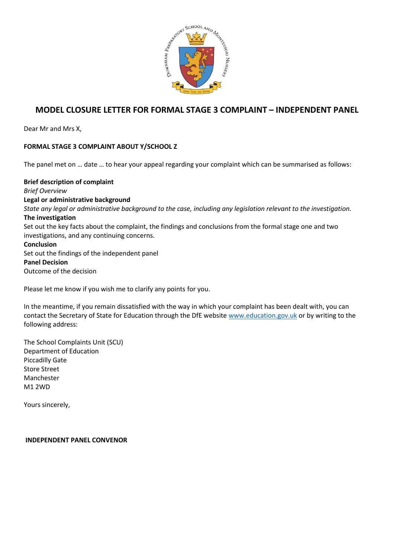

# **MODEL CLOSURE LETTER FOR FORMAL STAGE 3 COMPLAINT – INDEPENDENT PANEL**

Dear Mr and Mrs X,

## **FORMAL STAGE 3 COMPLAINT ABOUT Y/SCHOOL Z**

The panel met on … date … to hear your appeal regarding your complaint which can be summarised as follows:

**Brief description of complaint** *Brief Overview* **Legal or administrative background** *State any legal or administrative background to the case, including any legislation relevant to the investigation.* **The investigation** Set out the key facts about the complaint, the findings and conclusions from the formal stage one and two investigations, and any continuing concerns. **Conclusion** Set out the findings of the independent panel **Panel Decision** Outcome of the decision

Please let me know if you wish me to clarify any points for you.

In the meantime, if you remain dissatisfied with the way in which your complaint has been dealt with, you can contact the Secretary of State for Education through the DfE website [www.education.gov.uk](http://www.education.gov.uk/) or by writing to the following address:

The School Complaints Unit (SCU) Department of Education Piccadilly Gate Store Street Manchester M1 2WD

Yours sincerely,

**INDEPENDENT PANEL CONVENOR**